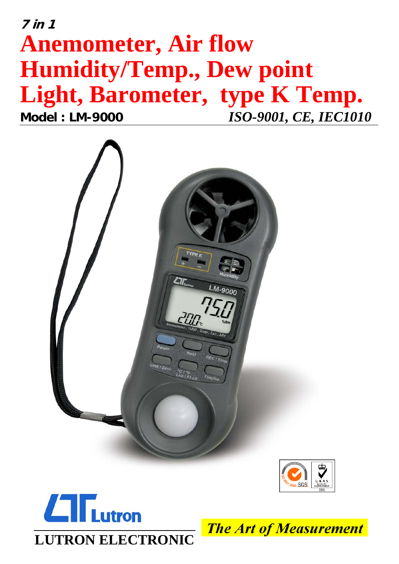# $7 in 1$ **Anemometer, Air flow Humidity/Temp., Dew point** Light, Barometer, type K Temp. **Model: LM-9000 ISO-9001, CE, IEC1010**







**The Art of Measurement**